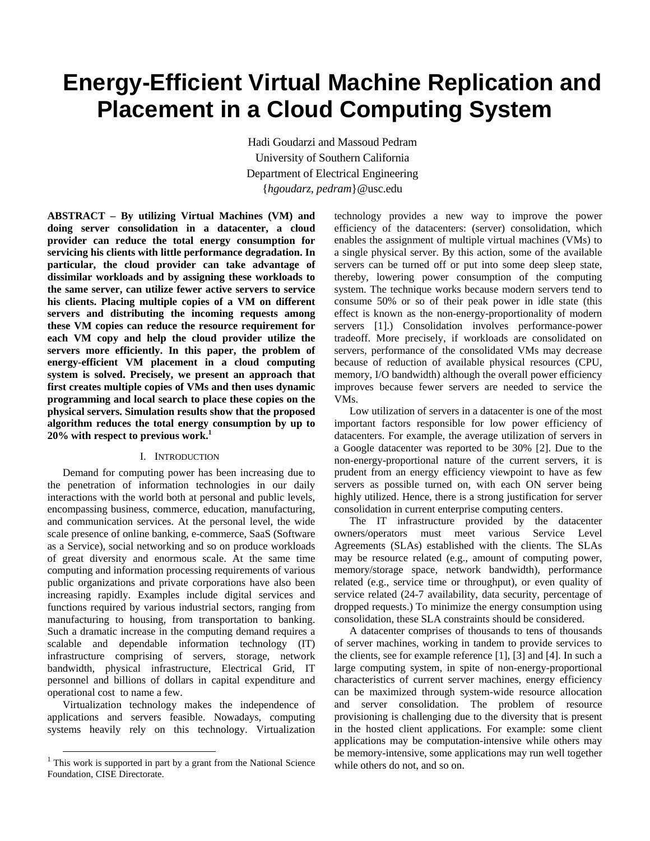# **Energy-Efficient Virtual Machine Replication and Placement in a Cloud Computing System**

Hadi Goudarzi and Massoud Pedram University of Southern California Department of Electrical Engineering {*hgoudarz*, *pedram*}@usc.edu

**ABSTRACT – By utilizing Virtual Machines (VM) and doing server consolidation in a datacenter, a cloud provider can reduce the total energy consumption for servicing his clients with little performance degradation. In particular, the cloud provider can take advantage of dissimilar workloads and by assigning these workloads to the same server, can utilize fewer active servers to service his clients. Placing multiple copies of a VM on different servers and distributing the incoming requests among these VM copies can reduce the resource requirement for each VM copy and help the cloud provider utilize the servers more efficiently. In this paper, the problem of energy-efficient VM placement in a cloud computing system is solved. Precisely, we present an approach that first creates multiple copies of VMs and then uses dynamic programming and local search to place these copies on the physical servers. Simulation results show that the proposed algorithm reduces the total energy consumption by up to 20% with respect to previous work.1**

## I. INTRODUCTION

Demand for computing power has been increasing due to the penetration of information technologies in our daily interactions with the world both at personal and public levels, encompassing business, commerce, education, manufacturing, and communication services. At the personal level, the wide scale presence of online banking, e-commerce, SaaS (Software as a Service), social networking and so on produce workloads of great diversity and enormous scale. At the same time computing and information processing requirements of various public organizations and private corporations have also been increasing rapidly. Examples include digital services and functions required by various industrial sectors, ranging from manufacturing to housing, from transportation to banking. Such a dramatic increase in the computing demand requires a scalable and dependable information technology (IT) infrastructure comprising of servers, storage, network bandwidth, physical infrastructure, Electrical Grid, IT personnel and billions of dollars in capital expenditure and operational cost to name a few.

Virtualization technology makes the independence of applications and servers feasible. Nowadays, computing systems heavily rely on this technology. Virtualization

technology provides a new way to improve the power efficiency of the datacenters: (server) consolidation, which enables the assignment of multiple virtual machines (VMs) to a single physical server. By this action, some of the available servers can be turned off or put into some deep sleep state, thereby, lowering power consumption of the computing system. The technique works because modern servers tend to consume 50% or so of their peak power in idle state (this effect is known as the non-energy-proportionality of modern servers [1].) Consolidation involves performance-power tradeoff. More precisely, if workloads are consolidated on servers, performance of the consolidated VMs may decrease because of reduction of available physical resources (CPU, memory, I/O bandwidth) although the overall power efficiency improves because fewer servers are needed to service the VMs.

Low utilization of servers in a datacenter is one of the most important factors responsible for low power efficiency of datacenters. For example, the average utilization of servers in a Google datacenter was reported to be 30% [2]. Due to the non-energy-proportional nature of the current servers, it is prudent from an energy efficiency viewpoint to have as few servers as possible turned on, with each ON server being highly utilized. Hence, there is a strong justification for server consolidation in current enterprise computing centers.

The IT infrastructure provided by the datacenter owners/operators must meet various Service Level Agreements (SLAs) established with the clients. The SLAs may be resource related (e.g., amount of computing power, memory/storage space, network bandwidth), performance related (e.g., service time or throughput), or even quality of service related (24-7 availability, data security, percentage of dropped requests.) To minimize the energy consumption using consolidation, these SLA constraints should be considered.

A datacenter comprises of thousands to tens of thousands of server machines, working in tandem to provide services to the clients, see for example reference [1], [3] and [4]. In such a large computing system, in spite of non-energy-proportional characteristics of current server machines, energy efficiency can be maximized through system-wide resource allocation and server consolidation. The problem of resource provisioning is challenging due to the diversity that is present in the hosted client applications. For example: some client applications may be computation-intensive while others may be memory-intensive, some applications may run well together while others do not, and so on.

 $1$  This work is supported in part by a grant from the National Science Foundation, CISE Directorate.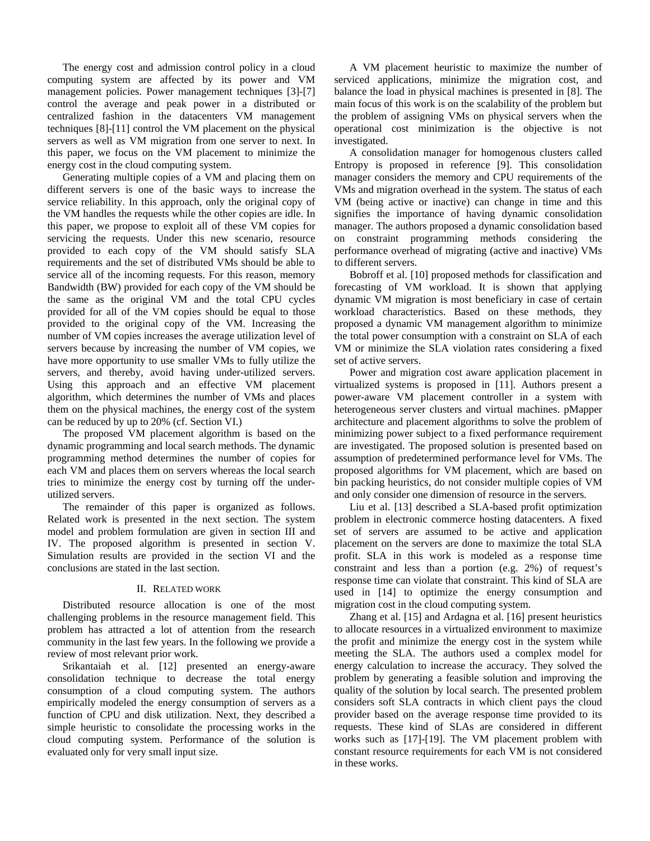The energy cost and admission control policy in a cloud computing system are affected by its power and VM management policies. Power management techniques [3]-[7] control the average and peak power in a distributed or centralized fashion in the datacenters VM management techniques [8]-[11] control the VM placement on the physical servers as well as VM migration from one server to next. In this paper, we focus on the VM placement to minimize the energy cost in the cloud computing system.

Generating multiple copies of a VM and placing them on different servers is one of the basic ways to increase the service reliability. In this approach, only the original copy of the VM handles the requests while the other copies are idle. In this paper, we propose to exploit all of these VM copies for servicing the requests. Under this new scenario, resource provided to each copy of the VM should satisfy SLA requirements and the set of distributed VMs should be able to service all of the incoming requests. For this reason, memory Bandwidth (BW) provided for each copy of the VM should be the same as the original VM and the total CPU cycles provided for all of the VM copies should be equal to those provided to the original copy of the VM. Increasing the number of VM copies increases the average utilization level of servers because by increasing the number of VM copies, we have more opportunity to use smaller VMs to fully utilize the servers, and thereby, avoid having under-utilized servers. Using this approach and an effective VM placement algorithm, which determines the number of VMs and places them on the physical machines, the energy cost of the system can be reduced by up to 20% (cf. Section VI.)

The proposed VM placement algorithm is based on the dynamic programming and local search methods. The dynamic programming method determines the number of copies for each VM and places them on servers whereas the local search tries to minimize the energy cost by turning off the underutilized servers.

The remainder of this paper is organized as follows. Related work is presented in the next section. The system model and problem formulation are given in section III and IV. The proposed algorithm is presented in section V. Simulation results are provided in the section VI and the conclusions are stated in the last section.

## II. RELATED WORK

Distributed resource allocation is one of the most challenging problems in the resource management field. This problem has attracted a lot of attention from the research community in the last few years. In the following we provide a review of most relevant prior work.

Srikantaiah et al. [12] presented an energy-aware consolidation technique to decrease the total energy consumption of a cloud computing system. The authors empirically modeled the energy consumption of servers as a function of CPU and disk utilization. Next, they described a simple heuristic to consolidate the processing works in the cloud computing system. Performance of the solution is evaluated only for very small input size.

A VM placement heuristic to maximize the number of serviced applications, minimize the migration cost, and balance the load in physical machines is presented in [8]. The main focus of this work is on the scalability of the problem but the problem of assigning VMs on physical servers when the operational cost minimization is the objective is not investigated.

A consolidation manager for homogenous clusters called Entropy is proposed in reference [9]. This consolidation manager considers the memory and CPU requirements of the VMs and migration overhead in the system. The status of each VM (being active or inactive) can change in time and this signifies the importance of having dynamic consolidation manager. The authors proposed a dynamic consolidation based on constraint programming methods considering the performance overhead of migrating (active and inactive) VMs to different servers.

Bobroff et al. [10] proposed methods for classification and forecasting of VM workload. It is shown that applying dynamic VM migration is most beneficiary in case of certain workload characteristics. Based on these methods, they proposed a dynamic VM management algorithm to minimize the total power consumption with a constraint on SLA of each VM or minimize the SLA violation rates considering a fixed set of active servers.

Power and migration cost aware application placement in virtualized systems is proposed in [11]. Authors present a power-aware VM placement controller in a system with heterogeneous server clusters and virtual machines. pMapper architecture and placement algorithms to solve the problem of minimizing power subject to a fixed performance requirement are investigated. The proposed solution is presented based on assumption of predetermined performance level for VMs. The proposed algorithms for VM placement, which are based on bin packing heuristics, do not consider multiple copies of VM and only consider one dimension of resource in the servers.

Liu et al. [13] described a SLA-based profit optimization problem in electronic commerce hosting datacenters. A fixed set of servers are assumed to be active and application placement on the servers are done to maximize the total SLA profit. SLA in this work is modeled as a response time constraint and less than a portion (e.g. 2%) of request's response time can violate that constraint. This kind of SLA are used in [14] to optimize the energy consumption and migration cost in the cloud computing system.

Zhang et al. [15] and Ardagna et al. [16] present heuristics to allocate resources in a virtualized environment to maximize the profit and minimize the energy cost in the system while meeting the SLA. The authors used a complex model for energy calculation to increase the accuracy. They solved the problem by generating a feasible solution and improving the quality of the solution by local search. The presented problem considers soft SLA contracts in which client pays the cloud provider based on the average response time provided to its requests. These kind of SLAs are considered in different works such as [17]-[19]. The VM placement problem with constant resource requirements for each VM is not considered in these works.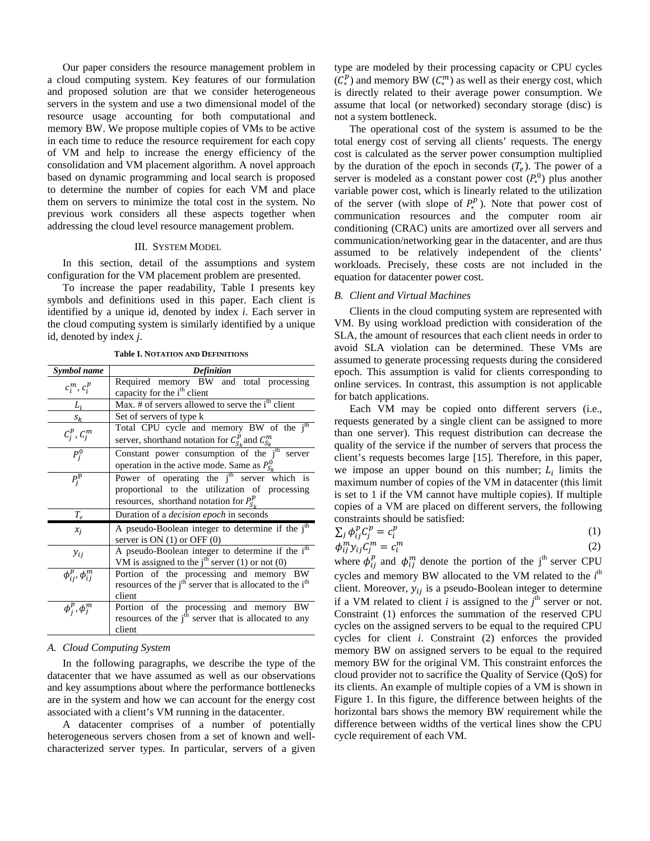Our paper considers the resource management problem in a cloud computing system. Key features of our formulation and proposed solution are that we consider heterogeneous servers in the system and use a two dimensional model of the resource usage accounting for both computational and memory BW. We propose multiple copies of VMs to be active in each time to reduce the resource requirement for each copy of VM and help to increase the energy efficiency of the consolidation and VM placement algorithm. A novel approach based on dynamic programming and local search is proposed to determine the number of copies for each VM and place them on servers to minimize the total cost in the system. No previous work considers all these aspects together when addressing the cloud level resource management problem.

## III. SYSTEM MODEL

In this section, detail of the assumptions and system configuration for the VM placement problem are presented.

To increase the paper readability, Table I presents key symbols and definitions used in this paper. Each client is identified by a unique id, denoted by index *i*. Each server in the cloud computing system is similarly identified by a unique id, denoted by index *j*.

| Symbol name                | <b>Definition</b>                                                |  |  |
|----------------------------|------------------------------------------------------------------|--|--|
| $c_i^m, c_i^p$             | Required memory BW and total processing                          |  |  |
|                            | capacity for the i <sup>th</sup> client                          |  |  |
| $L_i$                      | Max. # of servers allowed to serve the i <sup>th</sup> client    |  |  |
| $S_k$                      | Set of servers of type k                                         |  |  |
| $C_j^p, C_j^m$             | Total CPU cycle and memory BW of the j <sup>th</sup>             |  |  |
|                            | server, shorthand notation for $C_{S_k}^p$ and $C_{S_k}^m$       |  |  |
| $P_i^0$                    | Constant power consumption of the j <sup>th</sup> server         |  |  |
|                            | operation in the active mode. Same as $P_{S_k}^0$                |  |  |
| $P_i^{\rm p}$              | Power of operating the j <sup>th</sup> server which is           |  |  |
|                            | proportional to the utilization of processing                    |  |  |
|                            | resources, shorthand notation for $P_{S_k}^p$                    |  |  |
| $T_e$                      | Duration of a <i>decision epoch</i> in seconds                   |  |  |
| $x_i$                      | A pseudo-Boolean integer to determine if the $ith$               |  |  |
|                            | server is $ON(1)$ or OFF $(0)$                                   |  |  |
| $y_{ij}$                   | A pseudo-Boolean integer to determine if the i <sup>th</sup>     |  |  |
|                            | VM is assigned to the $jth$ server (1) or not (0)                |  |  |
| $\phi_{ij}^p, \phi_{ij}^m$ | Portion of the processing and memory BW                          |  |  |
|                            | resources of the $jth$ server that is allocated to the $ith$     |  |  |
|                            | client                                                           |  |  |
| $\phi_i^p, \phi_i^m$       | Portion of the processing and memory BW                          |  |  |
|                            | resources of the $j^{\text{th}}$ server that is allocated to any |  |  |
|                            | client                                                           |  |  |

**Table I. NOTATION AND DEFINITIONS**

# *A. Cloud Computing System*

In the following paragraphs, we describe the type of the datacenter that we have assumed as well as our observations and key assumptions about where the performance bottlenecks are in the system and how we can account for the energy cost associated with a client's VM running in the datacenter.

A datacenter comprises of a number of potentially heterogeneous servers chosen from a set of known and wellcharacterized server types. In particular, servers of a given type are modeled by their processing capacity or CPU cycles  $(C^p_*)$  and memory BW  $(C^m_*)$  as well as their energy cost, which is directly related to their average power consumption. We assume that local (or networked) secondary storage (disc) is not a system bottleneck.

The operational cost of the system is assumed to be the total energy cost of serving all clients' requests. The energy cost is calculated as the server power consumption multiplied by the duration of the epoch in seconds  $(T_e)$ . The power of a server is modeled as a constant power cost  $(P_*^0)$  plus another variable power cost, which is linearly related to the utilization of the server (with slope of  $P_*^p$ ). Note that power cost of communication resources and the computer room air conditioning (CRAC) units are amortized over all servers and communication/networking gear in the datacenter, and are thus assumed to be relatively independent of the clients' workloads. Precisely, these costs are not included in the equation for datacenter power cost.

# *B. Client and Virtual Machines*

Clients in the cloud computing system are represented with VM. By using workload prediction with consideration of the SLA, the amount of resources that each client needs in order to avoid SLA violation can be determined. These VMs are assumed to generate processing requests during the considered epoch. This assumption is valid for clients corresponding to online services. In contrast, this assumption is not applicable for batch applications.

Each VM may be copied onto different servers (i.e., requests generated by a single client can be assigned to more than one server). This request distribution can decrease the quality of the service if the number of servers that process the client's requests becomes large [15]. Therefore, in this paper, we impose an upper bound on this number;  $L_i$  limits the maximum number of copies of the VM in datacenter (this limit is set to 1 if the VM cannot have multiple copies). If multiple copies of a VM are placed on different servers, the following constraints should be satisfied:

$$
\sum_{j} \phi_{ij}^{p} C_{j}^{p} = c_{i}^{p} \tag{1}
$$

$$
\phi_{ij}^m y_{ij} \dot{C}_j^m = c_i^m \tag{2}
$$

where  $\phi_{ij}^p$  and  $\phi_{ij}^m$  denote the portion of the j<sup>th</sup> server CPU cycles and memory BW allocated to the VM related to the *i*<sup>th</sup> client. Moreover,  $y_{ij}$  is a pseudo-Boolean integer to determine if a VM related to client *i* is assigned to the  $j<sup>th</sup>$  server or not. Constraint (1) enforces the summation of the reserved CPU cycles on the assigned servers to be equal to the required CPU cycles for client *i*. Constraint (2) enforces the provided memory BW on assigned servers to be equal to the required memory BW for the original VM. This constraint enforces the cloud provider not to sacrifice the Quality of Service (QoS) for its clients. An example of multiple copies of a VM is shown in Figure 1. In this figure, the difference between heights of the horizontal bars shows the memory BW requirement while the difference between widths of the vertical lines show the CPU cycle requirement of each VM.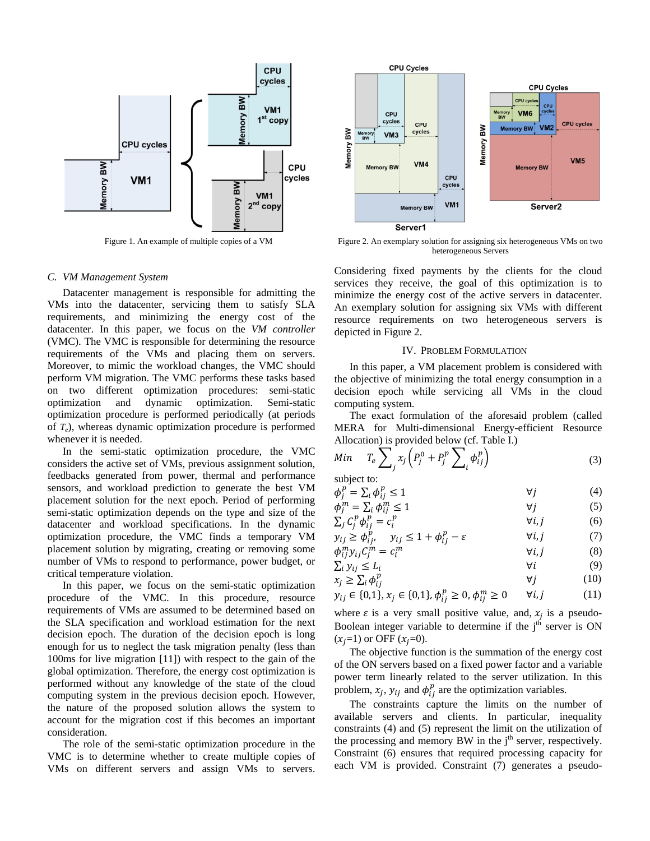

#### *C. VM Management System*

Datacenter management is responsible for admitting the VMs into the datacenter, servicing them to satisfy SLA requirements, and minimizing the energy cost of the datacenter. In this paper, we focus on the *VM controller* (VMC). The VMC is responsible for determining the resource requirements of the VMs and placing them on servers. Moreover, to mimic the workload changes, the VMC should perform VM migration. The VMC performs these tasks based on two different optimization procedures: semi-static optimization and dynamic optimization. Semi-static optimization procedure is performed periodically (at periods of *Te*), whereas dynamic optimization procedure is performed whenever it is needed.

In the semi-static optimization procedure, the VMC considers the active set of VMs, previous assignment solution, feedbacks generated from power, thermal and performance sensors, and workload prediction to generate the best VM placement solution for the next epoch. Period of performing semi-static optimization depends on the type and size of the datacenter and workload specifications. In the dynamic optimization procedure, the VMC finds a temporary VM placement solution by migrating, creating or removing some number of VMs to respond to performance, power budget, or critical temperature violation.

In this paper, we focus on the semi-static optimization procedure of the VMC. In this procedure, resource requirements of VMs are assumed to be determined based on the SLA specification and workload estimation for the next decision epoch. The duration of the decision epoch is long enough for us to neglect the task migration penalty (less than 100ms for live migration [11]) with respect to the gain of the global optimization. Therefore, the energy cost optimization is performed without any knowledge of the state of the cloud computing system in the previous decision epoch. However, the nature of the proposed solution allows the system to account for the migration cost if this becomes an important consideration.

The role of the semi-static optimization procedure in the VMC is to determine whether to create multiple copies of VMs on different servers and assign VMs to servers.



Figure 1. An example of multiple copies of a VM Figure 2. An exemplary solution for assigning six heterogeneous VMs on two heterogeneous Servers

Considering fixed payments by the clients for the cloud services they receive, the goal of this optimization is to minimize the energy cost of the active servers in datacenter. An exemplary solution for assigning six VMs with different resource requirements on two heterogeneous servers is depicted in Figure 2.

## IV. PROBLEM FORMULATION

In this paper, a VM placement problem is considered with the objective of minimizing the total energy consumption in a decision epoch while servicing all VMs in the cloud computing system.

The exact formulation of the aforesaid problem (called MERA for Multi-dimensional Energy-efficient Resource Allocation) is provided below (cf. Table I.)

Min 
$$
T_e \sum_j x_j (P_j^0 + P_j^p \sum_i \phi_{ij}^p)
$$
 (3)

subject to:

$$
\phi_j^p = \sum_i \phi_{ij}^p \le 1 \tag{4}
$$

$$
\phi_j^m = \sum_i \phi_{ij}^m \le 1 \tag{5}
$$
\n
$$
\nabla \cdot c^p \star^p = c^p \tag{6}
$$

$$
\sum_{j}^{'} C_{j}^{p} \phi_{ij}^{p} = c_{i}^{p} \qquad \forall i, j \qquad (6)
$$

$$
y_{ij} \ge \phi_{ij}^p, \quad y_{ij} \le 1 + \phi_{ij}^p - \varepsilon \qquad \forall i, j \qquad (7)
$$

$$
\phi_{ij}^m y_{ij} c_j^m = c_i^m \qquad \forall i, j \qquad (8)
$$

$$
\sum_{i} y_{ij} \le L_i \qquad \forall i \qquad (9)
$$
\n
$$
x \ge \sum_{i} x_i^p \qquad \forall i \qquad (10)
$$

$$
x_j \ge \sum_i \phi_{ij}^p
$$
  $\forall j$  (10)

$$
y_{ij} \in \{0, 1\}, x_j \in \{0, 1\}, \phi_{ij}^p \ge 0, \phi_{ij}^m \ge 0 \qquad \forall i, j \tag{11}
$$

where  $\varepsilon$  is a very small positive value, and,  $x_i$  is a pseudo-Boolean integer variable to determine if the  $j<sup>th</sup>$  server is ON  $(x_i=1)$  or OFF  $(x_i=0)$ .

The objective function is the summation of the energy cost of the ON servers based on a fixed power factor and a variable power term linearly related to the server utilization. In this problem,  $x_j$ ,  $y_{ij}$  and  $\phi_{ij}^p$  are the optimization variables.

The constraints capture the limits on the number of available servers and clients. In particular, inequality constraints (4) and (5) represent the limit on the utilization of the processing and memory BW in the  $j<sup>th</sup>$  server, respectively. Constraint (6) ensures that required processing capacity for each VM is provided. Constraint (7) generates a pseudo-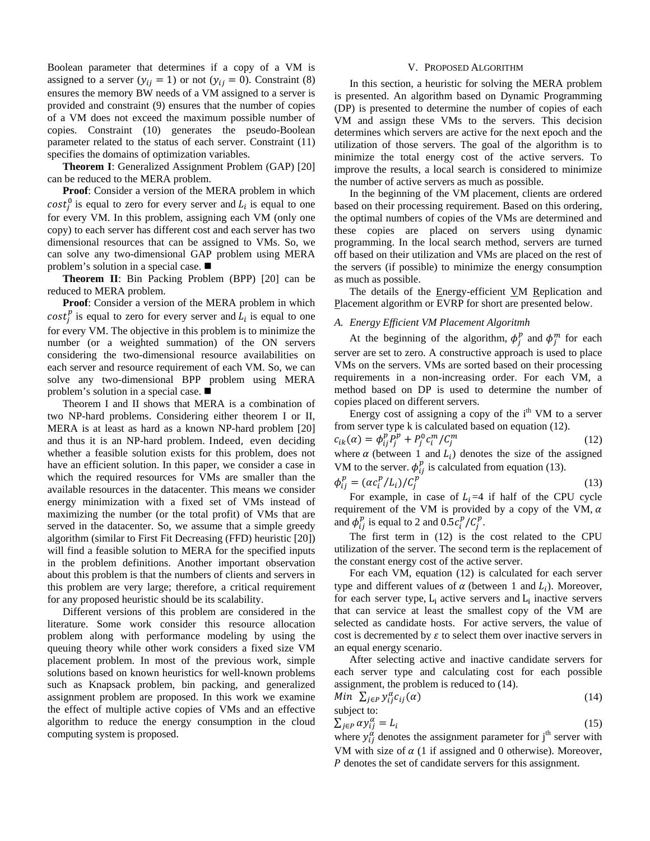Boolean parameter that determines if a copy of a VM is assigned to a server  $(y_{ij} = 1)$  or not  $(y_{ij} = 0)$ . Constraint (8) ensures the memory BW needs of a VM assigned to a server is provided and constraint (9) ensures that the number of copies of a VM does not exceed the maximum possible number of copies. Constraint (10) generates the pseudo-Boolean parameter related to the status of each server. Constraint (11) specifies the domains of optimization variables.

**Theorem I**: Generalized Assignment Problem (GAP) [20] can be reduced to the MERA problem.

**Proof**: Consider a version of the MERA problem in which  $cost_j^0$  is equal to zero for every server and  $L_i$  is equal to one for every VM. In this problem, assigning each VM (only one copy) to each server has different cost and each server has two dimensional resources that can be assigned to VMs. So, we can solve any two-dimensional GAP problem using MERA problem's solution in a special case.

**Theorem II**: Bin Packing Problem (BPP) [20] can be reduced to MERA problem.

**Proof**: Consider a version of the MERA problem in which  $cost_j^p$  is equal to zero for every server and  $\overline{L}_i$  is equal to one for every VM. The objective in this problem is to minimize the number (or a weighted summation) of the ON servers considering the two-dimensional resource availabilities on each server and resource requirement of each VM. So, we can solve any two-dimensional BPP problem using MERA problem's solution in a special case.

Theorem I and II shows that MERA is a combination of two NP-hard problems. Considering either theorem I or II, MERA is at least as hard as a known NP-hard problem [20] and thus it is an NP-hard problem. Indeed, even deciding whether a feasible solution exists for this problem, does not have an efficient solution. In this paper, we consider a case in which the required resources for VMs are smaller than the available resources in the datacenter. This means we consider energy minimization with a fixed set of VMs instead of maximizing the number (or the total profit) of VMs that are served in the datacenter. So, we assume that a simple greedy algorithm (similar to First Fit Decreasing (FFD) heuristic [20]) will find a feasible solution to MERA for the specified inputs in the problem definitions. Another important observation about this problem is that the numbers of clients and servers in this problem are very large; therefore, a critical requirement for any proposed heuristic should be its scalability.

Different versions of this problem are considered in the literature. Some work consider this resource allocation problem along with performance modeling by using the queuing theory while other work considers a fixed size VM placement problem. In most of the previous work, simple solutions based on known heuristics for well-known problems such as Knapsack problem, bin packing, and generalized assignment problem are proposed. In this work we examine the effect of multiple active copies of VMs and an effective algorithm to reduce the energy consumption in the cloud computing system is proposed.

#### V. PROPOSED ALGORITHM

In this section, a heuristic for solving the MERA problem is presented. An algorithm based on Dynamic Programming (DP) is presented to determine the number of copies of each VM and assign these VMs to the servers. This decision determines which servers are active for the next epoch and the utilization of those servers. The goal of the algorithm is to minimize the total energy cost of the active servers. To improve the results, a local search is considered to minimize the number of active servers as much as possible.

In the beginning of the VM placement, clients are ordered based on their processing requirement. Based on this ordering, the optimal numbers of copies of the VMs are determined and these copies are placed on servers using dynamic programming. In the local search method, servers are turned off based on their utilization and VMs are placed on the rest of the servers (if possible) to minimize the energy consumption as much as possible.

The details of the Energy-efficient VM Replication and Placement algorithm or EVRP for short are presented below.

## *A. Energy Efficient VM Placement Algoritmh*

At the beginning of the algorithm,  $\phi_j^p$  and  $\phi_j^m$  for each server are set to zero. A constructive approach is used to place VMs on the servers. VMs are sorted based on their processing requirements in a non-increasing order. For each VM, a method based on DP is used to determine the number of copies placed on different servers.

Energy cost of assigning a copy of the  $i<sup>th</sup>$  VM to a server from server type k is calculated based on equation (12).

$$
c_{ik}(\alpha) = \phi_{ij}^p \dot{P}_j^p + P_j^0 c_i^m / C_j^m
$$
 (12)  
where  $\alpha$  (between 1 and  $L_i$ ) denotes the size of the assigned  
VM to the server.  $\phi_{ij}^p$  is calculated from equation (13).

$$
\phi_{ij}^p = (\alpha c_i^p / L_i) / C_j^p \tag{13}
$$

For example, in case of  $L<sub>i</sub>=4$  if half of the CPU cycle requirement of the VM is provided by a copy of the VM,  $\alpha$ and  $\phi_{ij}^p$  is equal to 2 and  $0.5c_i^p/C_j^p$ .

The first term in (12) is the cost related to the CPU utilization of the server. The second term is the replacement of the constant energy cost of the active server.

For each VM, equation (12) is calculated for each server type and different values of  $\alpha$  (between 1 and  $L_i$ ). Moreover, for each server type,  $L_i$  active servers and  $L_i$  inactive servers that can service at least the smallest copy of the VM are selected as candidate hosts. For active servers, the value of cost is decremented by  $\varepsilon$  to select them over inactive servers in an equal energy scenario.

After selecting active and inactive candidate servers for each server type and calculating cost for each possible assignment, the problem is reduced to (14).

$$
Min \sum_{j \in P} y_{ij}^{\alpha} c_{ij}(\alpha) \tag{14}
$$

subject to:  $\sum_{j \in P} \alpha y_{ij}^{\alpha} = L_i$  (15)

where  $y_{ij}^{\alpha}$  denotes the assignment parameter for j<sup>th</sup> server with VM with size of  $\alpha$  (1 if assigned and 0 otherwise). Moreover, P denotes the set of candidate servers for this assignment.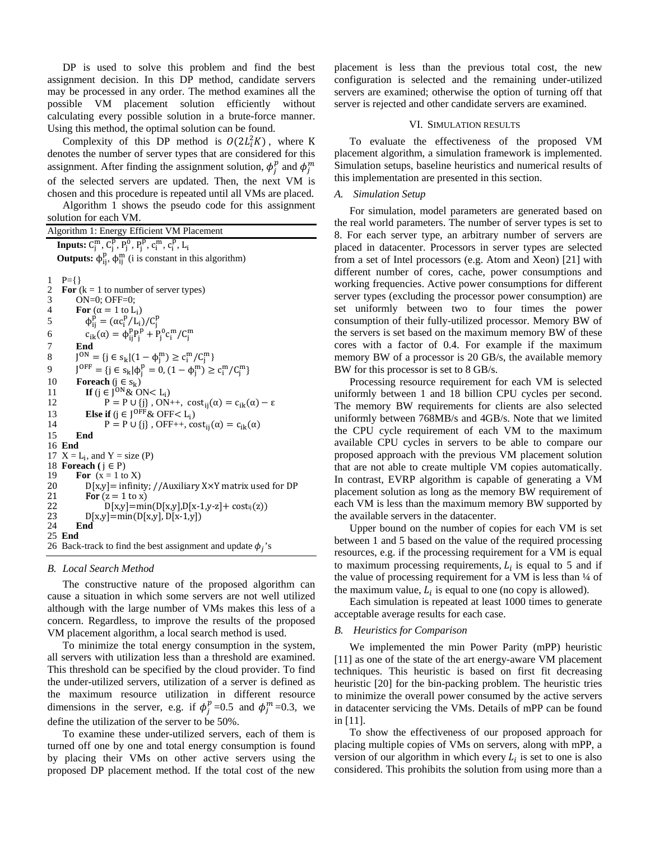DP is used to solve this problem and find the best assignment decision. In this DP method, candidate servers may be processed in any order. The method examines all the possible VM placement solution efficiently without calculating every possible solution in a brute-force manner. Using this method, the optimal solution can be found.

Complexity of this DP method is  $O(2L_i^2 K)$ , where K denotes the number of server types that are considered for this assignment. After finding the assignment solution,  $\phi_j^p$  and  $\phi_j^m$ of the selected servers are updated. Then, the next VM is chosen and this procedure is repeated until all VMs are placed.

Algorithm 1 shows the pseudo code for this assignment solution for each VM.

| Algorithm 1: Energy Efficient VM Placement                                                    |  |  |  |
|-----------------------------------------------------------------------------------------------|--|--|--|
| <b>Inputs:</b> $C_i^m$ , $C_i^p$ , $P_i^0$ , $P_i^p$ , $c_i^m$ , $c_i^p$ , $L_i$              |  |  |  |
| <b>Outputs:</b> $\phi_{ii}^p$ , $\phi_{ii}^m$ (i is constant in this algorithm)               |  |  |  |
|                                                                                               |  |  |  |
| $P = \{\}$<br>1                                                                               |  |  |  |
| $\overline{c}$<br>For $(k = 1$ to number of server types)                                     |  |  |  |
| $\mathfrak{Z}$<br>$ON=0$ ; OFF=0;                                                             |  |  |  |
| 4<br>For $(\alpha = 1$ to $L_i$ )                                                             |  |  |  |
| $\phi_{ii}^{p} = (\alpha c_{i}^{p}/L_{i})/C_{i}^{p}$<br>5                                     |  |  |  |
| $c_{ik}(\alpha) = \phi_{ii}^p P_i^p + P_i^0 c_i^m / C_i^m$<br>6                               |  |  |  |
| End<br>7                                                                                      |  |  |  |
| $J^{ON} = \{j \in s_k   (1 - \phi_i^m) \ge c_i^m / C_i^m \}$<br>8                             |  |  |  |
| $J^{OFF} = \{j \in s_k   \phi_i^p = 0, (1 - \phi_j^m) \ge c_i^m / C_j^m\}$<br>9               |  |  |  |
| 10<br><b>Foreach</b> $(i \in s_k)$                                                            |  |  |  |
| If $(j \in J^{ON} \& ON < L_i)$<br>11                                                         |  |  |  |
| $P = P \cup \{j\}$ , ON++, cost <sub>ij</sub> $(\alpha) = c_{ik}(\alpha) - \varepsilon$<br>12 |  |  |  |
| Else if $(i \in I^{OFF} \& OFF < L_i)$<br>13                                                  |  |  |  |
| $P = P \cup \{j\}$ , OFF++, cost <sub>ij</sub> $(\alpha) = c_{ik}(\alpha)$<br>14              |  |  |  |
| 15<br>End                                                                                     |  |  |  |
| 16 End                                                                                        |  |  |  |
| 17 $X = L_i$ , and $Y = size(P)$                                                              |  |  |  |
| 18 Foreach $(i \in P)$                                                                        |  |  |  |
| 19<br>For $(x = 1$ to X)                                                                      |  |  |  |
| 20<br>$D[x,y]$ = infinity; //Auxiliary X×Y matrix used for DP                                 |  |  |  |
| 21<br>For $(z = 1$ to x)                                                                      |  |  |  |
| 22<br>$D[x,y] = min(D[x,y],D[x-1,y-z] + cost_{ij}(z))$                                        |  |  |  |
| 23<br>$D[x,y] = min(D[x,y], D[x-1,y])$                                                        |  |  |  |
| 24<br>End                                                                                     |  |  |  |
| 25 End                                                                                        |  |  |  |
| 26 Back-track to find the best assignment and update $\phi_i$ 's                              |  |  |  |

#### *B. Local Search Method*

The constructive nature of the proposed algorithm can cause a situation in which some servers are not well utilized although with the large number of VMs makes this less of a concern. Regardless, to improve the results of the proposed VM placement algorithm, a local search method is used.

To minimize the total energy consumption in the system, all servers with utilization less than a threshold are examined. This threshold can be specified by the cloud provider. To find the under-utilized servers, utilization of a server is defined as the maximum resource utilization in different resource dimensions in the server, e.g. if  $\phi_j^p = 0.5$  and  $\phi_j^m = 0.3$ , we define the utilization of the server to be 50%.

To examine these under-utilized servers, each of them is turned off one by one and total energy consumption is found by placing their VMs on other active servers using the proposed DP placement method. If the total cost of the new placement is less than the previous total cost, the new configuration is selected and the remaining under-utilized servers are examined; otherwise the option of turning off that server is rejected and other candidate servers are examined.

#### VI. SIMULATION RESULTS

To evaluate the effectiveness of the proposed VM placement algorithm, a simulation framework is implemented. Simulation setups, baseline heuristics and numerical results of this implementation are presented in this section.

# *A. Simulation Setup*

For simulation, model parameters are generated based on the real world parameters. The number of server types is set to 8. For each server type, an arbitrary number of servers are placed in datacenter. Processors in server types are selected from a set of Intel processors (e.g. Atom and Xeon) [21] with different number of cores, cache, power consumptions and working frequencies. Active power consumptions for different server types (excluding the processor power consumption) are set uniformly between two to four times the power consumption of their fully-utilized processor. Memory BW of the servers is set based on the maximum memory BW of these cores with a factor of 0.4. For example if the maximum memory BW of a processor is 20 GB/s, the available memory BW for this processor is set to 8 GB/s.

Processing resource requirement for each VM is selected uniformly between 1 and 18 billion CPU cycles per second. The memory BW requirements for clients are also selected uniformly between 768MB/s and 4GB/s. Note that we limited the CPU cycle requirement of each VM to the maximum available CPU cycles in servers to be able to compare our proposed approach with the previous VM placement solution that are not able to create multiple VM copies automatically. In contrast, EVRP algorithm is capable of generating a VM placement solution as long as the memory BW requirement of each VM is less than the maximum memory BW supported by the available servers in the datacenter.

Upper bound on the number of copies for each VM is set between 1 and 5 based on the value of the required processing resources, e.g. if the processing requirement for a VM is equal to maximum processing requirements,  $L_i$  is equal to 5 and if the value of processing requirement for a VM is less than  $\frac{1}{4}$  of the maximum value,  $L_i$  is equal to one (no copy is allowed).

Each simulation is repeated at least 1000 times to generate acceptable average results for each case.

### *B. Heuristics for Comparison*

We implemented the min Power Parity (mPP) heuristic [11] as one of the state of the art energy-aware VM placement techniques. This heuristic is based on first fit decreasing heuristic [20] for the bin-packing problem. The heuristic tries to minimize the overall power consumed by the active servers in datacenter servicing the VMs. Details of mPP can be found in [11].

To show the effectiveness of our proposed approach for placing multiple copies of VMs on servers, along with mPP, a version of our algorithm in which every  $L_i$  is set to one is also considered. This prohibits the solution from using more than a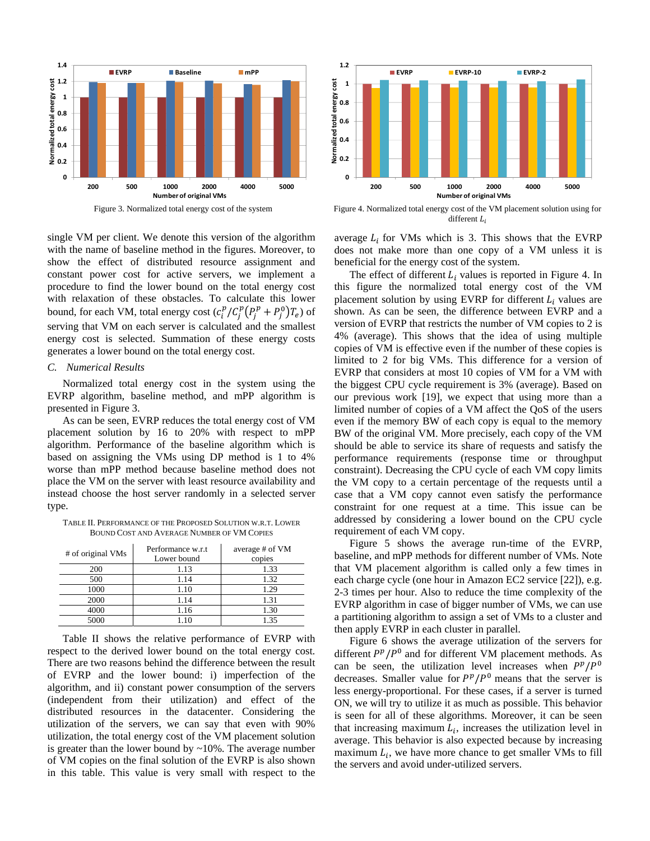

single VM per client. We denote this version of the algorithm with the name of baseline method in the figures. Moreover, to show the effect of distributed resource assignment and constant power cost for active servers, we implement a procedure to find the lower bound on the total energy cost with relaxation of these obstacles. To calculate this lower bound, for each VM, total energy cost  $(c_i^p/C_j^p(P_j^p+P_j^0)T_e)$  of serving that VM on each server is calculated and the smallest energy cost is selected. Summation of these energy costs generates a lower bound on the total energy cost.

## *C. Numerical Results*

Normalized total energy cost in the system using the EVRP algorithm, baseline method, and mPP algorithm is presented in Figure 3.

As can be seen, EVRP reduces the total energy cost of VM placement solution by 16 to 20% with respect to mPP algorithm. Performance of the baseline algorithm which is based on assigning the VMs using DP method is 1 to 4% worse than mPP method because baseline method does not place the VM on the server with least resource availability and instead choose the host server randomly in a selected server type.

TABLE II. PERFORMANCE OF THE PROPOSED SOLUTION W.R.T. LOWER BOUND COST AND AVERAGE NUMBER OF VM COPIES

| # of original VMs | Performance w.r.t<br>Lower bound | average # of VM<br>copies |
|-------------------|----------------------------------|---------------------------|
| 200               | 1.13                             | 1.33                      |
| 500               | 1.14                             | 1.32                      |
| 1000              | 1.10                             | 1.29                      |
| 2000              | 1.14                             | 1.31                      |
| 4000              | 1.16                             | 1.30                      |
| 5000              | 0.10                             | 1.35                      |

Table II shows the relative performance of EVRP with respect to the derived lower bound on the total energy cost. There are two reasons behind the difference between the result of EVRP and the lower bound: i) imperfection of the algorithm, and ii) constant power consumption of the servers (independent from their utilization) and effect of the distributed resources in the datacenter. Considering the utilization of the servers, we can say that even with 90% utilization, the total energy cost of the VM placement solution is greater than the lower bound by  $\sim$ 10%. The average number of VM copies on the final solution of the EVRP is also shown in this table. This value is very small with respect to the



Figure 3. Normalized total energy cost of the system Figure 4. Normalized total energy cost of the VM placement solution using for different  $L_i$ 

average  $L_i$  for VMs which is 3. This shows that the EVRP does not make more than one copy of a VM unless it is beneficial for the energy cost of the system.

The effect of different  $L_i$  values is reported in Figure 4. In this figure the normalized total energy cost of the VM placement solution by using EVRP for different  $L_i$  values are shown. As can be seen, the difference between EVRP and a version of EVRP that restricts the number of VM copies to 2 is 4% (average). This shows that the idea of using multiple copies of VM is effective even if the number of these copies is limited to 2 for big VMs. This difference for a version of EVRP that considers at most 10 copies of VM for a VM with the biggest CPU cycle requirement is 3% (average). Based on our previous work [19], we expect that using more than a limited number of copies of a VM affect the QoS of the users even if the memory BW of each copy is equal to the memory BW of the original VM. More precisely, each copy of the VM should be able to service its share of requests and satisfy the performance requirements (response time or throughput constraint). Decreasing the CPU cycle of each VM copy limits the VM copy to a certain percentage of the requests until a case that a VM copy cannot even satisfy the performance constraint for one request at a time. This issue can be addressed by considering a lower bound on the CPU cycle requirement of each VM copy.

Figure 5 shows the average run-time of the EVRP, baseline, and mPP methods for different number of VMs. Note that VM placement algorithm is called only a few times in each charge cycle (one hour in Amazon EC2 service [22]), e.g. 2-3 times per hour. Also to reduce the time complexity of the EVRP algorithm in case of bigger number of VMs, we can use a partitioning algorithm to assign a set of VMs to a cluster and then apply EVRP in each cluster in parallel.

Figure 6 shows the average utilization of the servers for different  $P^p/P^0$  and for different VM placement methods. As can be seen, the utilization level increases when  $P^p/P^0$ decreases. Smaller value for  $P^p/P^0$  means that the server is less energy-proportional. For these cases, if a server is turned ON, we will try to utilize it as much as possible. This behavior is seen for all of these algorithms. Moreover, it can be seen that increasing maximum  $L_i$ , increases the utilization level in average. This behavior is also expected because by increasing maximum  $L_i$ , we have more chance to get smaller VMs to fill the servers and avoid under-utilized servers.